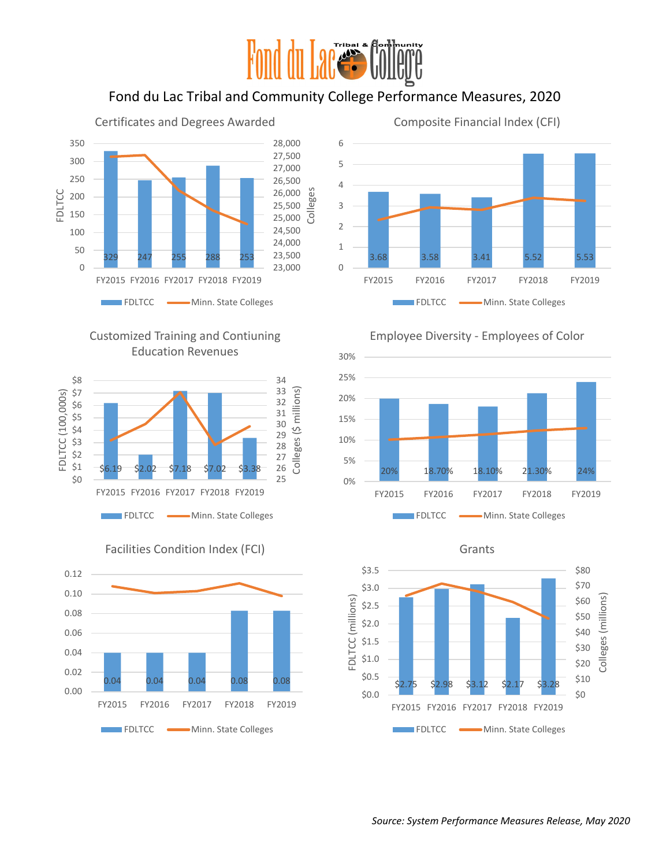

# Fond du Lac Tribal and Community College Performance Measures, 2020

Certificates and Degrees Awarded



## Customized Training and Contiuning Education Revenues





Facilities Condition Index (FCI)



## Composite Financial Index (CFI)





Grants

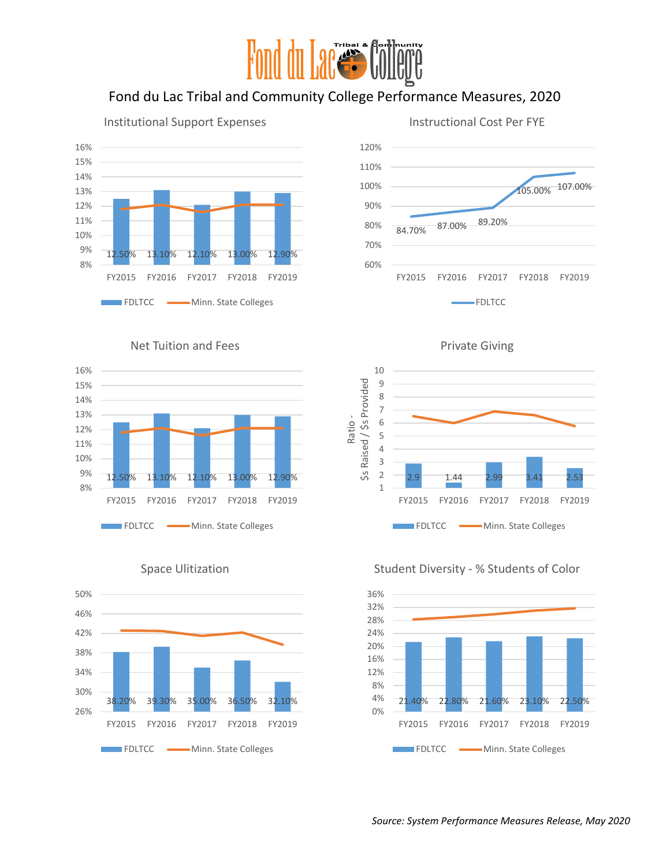# Fond du Lac Tribal and Community College Performance Measures, 2020

Ratio -





Instructional Cost Per FYE

#### Net Tuition and Fees







# Space Ulitization



## Student Diversity - % Students of Color

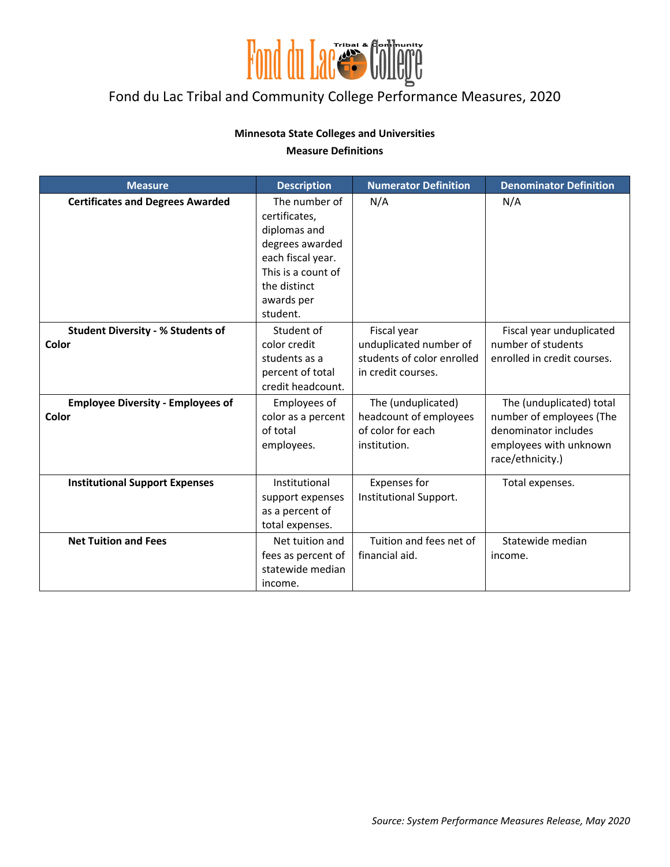

## Fond du Lac Tribal and Community College Performance Measures, 2020

#### **Minnesota State Colleges and Universities**

#### **Measure Definitions**

| <b>Measure</b>                                    | <b>Description</b>                                                                                                                                     | <b>Numerator Definition</b>                                                               | <b>Denominator Definition</b>                                                                                              |
|---------------------------------------------------|--------------------------------------------------------------------------------------------------------------------------------------------------------|-------------------------------------------------------------------------------------------|----------------------------------------------------------------------------------------------------------------------------|
| <b>Certificates and Degrees Awarded</b>           | The number of<br>certificates,<br>diplomas and<br>degrees awarded<br>each fiscal year.<br>This is a count of<br>the distinct<br>awards per<br>student. | N/A                                                                                       | N/A                                                                                                                        |
| <b>Student Diversity - % Students of</b><br>Color | Student of<br>color credit<br>students as a<br>percent of total<br>credit headcount.                                                                   | Fiscal year<br>unduplicated number of<br>students of color enrolled<br>in credit courses. | Fiscal year unduplicated<br>number of students<br>enrolled in credit courses.                                              |
| <b>Employee Diversity - Employees of</b><br>Color | Employees of<br>color as a percent<br>of total<br>employees.                                                                                           | The (unduplicated)<br>headcount of employees<br>of color for each<br>institution.         | The (unduplicated) total<br>number of employees (The<br>denominator includes<br>employees with unknown<br>race/ethnicity.) |
| <b>Institutional Support Expenses</b>             | Institutional<br>support expenses<br>as a percent of<br>total expenses.                                                                                | <b>Expenses for</b><br>Institutional Support.                                             | Total expenses.                                                                                                            |
| <b>Net Tuition and Fees</b>                       | Net tuition and<br>fees as percent of<br>statewide median<br>income.                                                                                   | Tuition and fees net of<br>financial aid.                                                 | Statewide median<br>income.                                                                                                |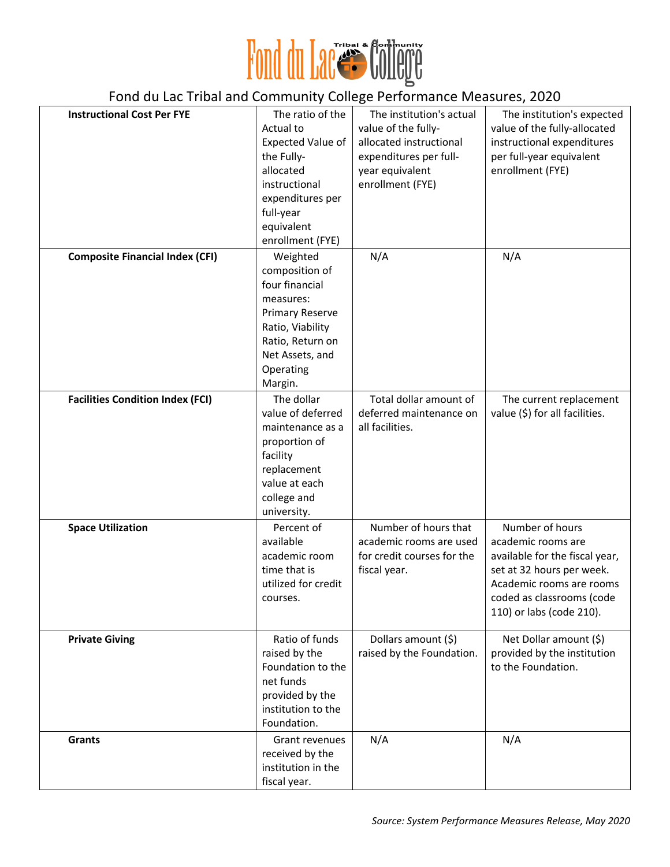

| Police ad Education and Community Concept Functionality included Co. 2020 |                                                                                                                                                                        |                                                                                                                                             |                                                                                                                                                                                           |
|---------------------------------------------------------------------------|------------------------------------------------------------------------------------------------------------------------------------------------------------------------|---------------------------------------------------------------------------------------------------------------------------------------------|-------------------------------------------------------------------------------------------------------------------------------------------------------------------------------------------|
| <b>Instructional Cost Per FYE</b>                                         | The ratio of the<br>Actual to<br>Expected Value of<br>the Fully-<br>allocated<br>instructional<br>expenditures per<br>full-year<br>equivalent<br>enrollment (FYE)      | The institution's actual<br>value of the fully-<br>allocated instructional<br>expenditures per full-<br>year equivalent<br>enrollment (FYE) | The institution's expected<br>value of the fully-allocated<br>instructional expenditures<br>per full-year equivalent<br>enrollment (FYE)                                                  |
| <b>Composite Financial Index (CFI)</b>                                    | Weighted<br>composition of<br>four financial<br>measures:<br><b>Primary Reserve</b><br>Ratio, Viability<br>Ratio, Return on<br>Net Assets, and<br>Operating<br>Margin. | N/A                                                                                                                                         | N/A                                                                                                                                                                                       |
| <b>Facilities Condition Index (FCI)</b>                                   | The dollar<br>value of deferred<br>maintenance as a<br>proportion of<br>facility<br>replacement<br>value at each<br>college and<br>university.                         | Total dollar amount of<br>deferred maintenance on<br>all facilities.                                                                        | The current replacement<br>value (\$) for all facilities.                                                                                                                                 |
| <b>Space Utilization</b>                                                  | Percent of<br>available<br>academic room<br>time that is<br>utilized for credit<br>courses.                                                                            | Number of hours that<br>academic rooms are used<br>for credit courses for the<br>fiscal year.                                               | Number of hours<br>academic rooms are<br>available for the fiscal year,<br>set at 32 hours per week.<br>Academic rooms are rooms<br>coded as classrooms (code<br>110) or labs (code 210). |
| <b>Private Giving</b>                                                     | Ratio of funds<br>raised by the<br>Foundation to the<br>net funds<br>provided by the<br>institution to the<br>Foundation.                                              | Dollars amount (\$)<br>raised by the Foundation.                                                                                            | Net Dollar amount (\$)<br>provided by the institution<br>to the Foundation.                                                                                                               |
| Grants                                                                    | Grant revenues<br>received by the<br>institution in the<br>fiscal year.                                                                                                | N/A                                                                                                                                         | N/A                                                                                                                                                                                       |